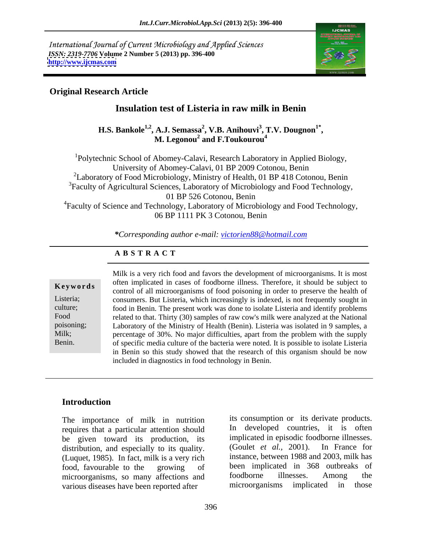International Journal of Current Microbiology and Applied Sciences *ISSN: 2319-7706* **Volume 2 Number 5 (2013) pp. 396-400 <http://www.ijcmas.com>**



# **Original Research Article**

# **Insulation test of Listeria in raw milk in Benin**

**H.S. Bankole<sup>1,2</sup>, A.J. Semassa<sup>2</sup>, V.B. Anihouvi<sup>3</sup>, T.V. Dougnon<sup>1\*</sup>,<br>M. Legonou<sup>2</sup> and F.Toukourou<sup>4</sup> , T.V. Dougnon1\* and F.Toukourou<sup>4</sup>**

<sup>1</sup>Polytechnic School of Abomey-Calavi, Research Laboratory in Applied Biology,<br>University of Abomey-Calavi, 01 BP 2009 Cotonou, Benin <sup>2</sup>Laboratory of Food Microbiology, Ministry of Health, 01 BP 418 Cotonou, Benin <sup>3</sup>Faculty of Agricultural Sciences, Laboratory of Microbiology and Food Technology, 01 BP 526 Cotonou, Benin <sup>4</sup>Faculty of Science and Technology, Laboratory of Microbiology and Food Technology, 06 BP 1111 PK 3 Cotonou, Benin

*\*Corresponding author e-mail: victorien88@hotmail.com*

## **A B S T R A C T**

**Keywords**control of all microorganisms of food poisoning in order to preserve the health of Listeria; consumers. But Listeria, which increasingly is indexed, is not frequently sought in culture; food in Benin. The present work was done to isolate Listeria and identify problems Food related to that. Thirty (30) samples of raw cow's milk were analyzed at the National poisoning; Laboratory of the Ministry of Health (Benin). Listeria was isolated in 9 samples, a Milk; percentage of 30%. No major difficulties, apart from the problem with the supply Benin. of specific media culture of the bacteria were noted. It is possible to isolate Listeria Milk is a very rich food and favors the development of microorganisms. It is most often implicated in cases of foodborne illness. Therefore, it should be subject to in Benin so this study showed that the research of this organism should be now included in diagnostics in food technology in Benin.

## **Introduction**

The importance of milk in nutrition requires that a particular attention should be given toward its production, its implicated in episodic foodborne illnesses.<br>distribution and especially to its quality (Goulet *et al.*, 2001). In France for distribution, and especially to its quality. (Luquet, 1985). In fact, milk is a very rich various diseases have been reported after microorganisms implicated in those

food, favourable to the growing of been implicated in 368 outbreaks of microorganisms, so many affections and foodborne illnesses. Among the its consumption or its derivate products. In developed countries, it is often implicated in episodic foodborne illnesses. (Goulet *et al.,* 2001). In France for instance, between 1988 and 2003, milk has been implicated in 368 outbreaks of foodborne illnesses. Among the microorganisms implicated in those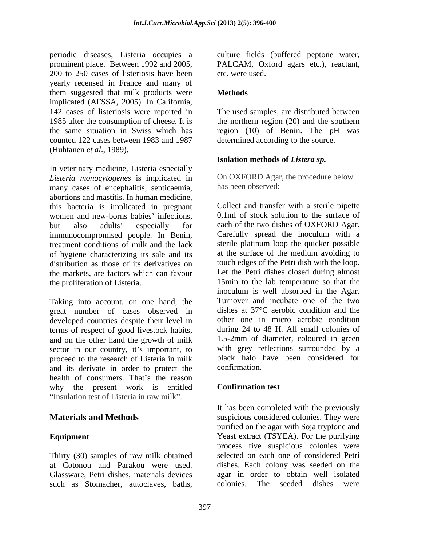periodic diseases, Listeria occupies a culture fields (buffered peptone water, prominent place. Between 1992 and 2005, PALCAM, Oxford agars etc.), reactant, 200 to 250 cases of listeriosis have been etc. were used. yearly recensed in France and many of them suggested that milk products were **Methods** implicated (AFSSA, 2005). In California, 142 cases of listeriosis were reported in The used samples, are distributed between 1985 after the consumption of cheese. It is the northern region (20) and the southern the same situation in Swiss which has region (10) of Benin. The pH was counted 122 cases between 1983 and 1987 (Huhtanen *et al*., 1989).

In veterinary medicine, Listeria especially *Listeria monocytogenes* is implicated in many cases of encephalitis, septicaemia, abortions and mastitis. In human medicine, this bacteria is implicated in pregnant women and new-borns babies' infections. but also adults' especially for each of the two dishes of OXFORD Agar.<br>immunocompromised people. In Benin, Carefully spread the inoculum with a immunocompromised people. In Benin, treatment conditions of milk and the lack of hygiene characterizing its sale and its<br>distribution as those of its derivatives on touch edges of the Petri dish with the loop. distribution as those of its derivatives on touch edges of the Petri dish with the loop.<br>the markets, are factors which can favour Let the Petri dishes closed during almost the markets, are factors which can favour the proliferation of Listeria. 15min to the lab temperature so that the

great number of cases observed in developed countries despite their level in terms of respect of good livestock habits, and on the other hand the growth of milk sector in our country, it's important, to proceed to the research of Listeria in milk black halo and its derivate in order to protect the health of consumers. That's the reason<br>why the present work is entitled Confirmation test. why the present work is entitled Insulation test of Listeria in raw milk".

Glassware, Petri dishes, materials devices such as Stomacher, autoclaves, baths, colonies. The seeded dishes were

etc. were used.

## **Methods**

determined according to the source.

## **Isolation methods of** *Listera sp.*

On OXFORD Agar, the procedure below has been observed:

Taking into account, on one hand, the Turnover and incubate one of the two Collect and transfer with a sterile pipette 0,1ml of stock solution to the surface of each of the two dishes of OXFORD Agar.<br>Carefully spread the inoculum with a sterile platinum loop the quicker possible at the surface of the medium avoiding to touch edges of the Petri dish with the loop. Let the Petri dishes closed during almost inoculum is well absorbed in the Agar. Turnover and incubate one of the two dishes at 37°C aerobic condition and the other one in micro aerobic condition during 24 to 48 H. All small colonies of 1.5-2mm of diameter, coloured in green with grey reflections surrounded by a black halo have been considered for confirmation.

# **Confirmation test**

**Materials and Methods** suspicious considered colonies. They were **Equipment** Yeast extract (TSYEA). For the purifying Thirty (30) samples of raw milk obtained selected on each one of considered Petri at Cotonou and Parakou were used. dishes. Each colony was seeded on the It has been completed with the previously purified on the agar with Soja tryptone and process five suspicious colonies were agar in order to obtain well isolated colonies. The seeded dishes were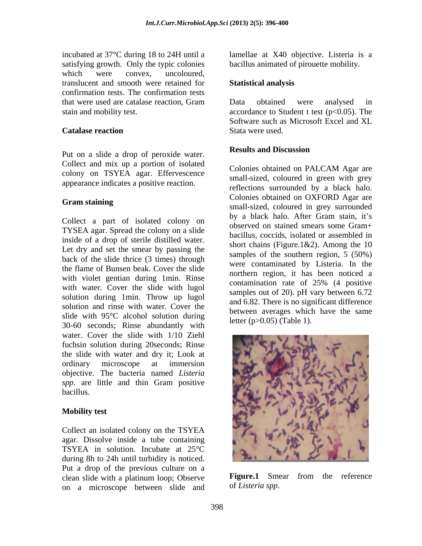incubated at 37°C during 18 to 24H until a lamellae at X40 objective. Listeria is a satisfying growth. Only the typic colonies which were convex, uncoloured, translucent and smooth were retained for confirmation tests. The confirmation tests that were used are catalase reaction, Gram stain and mobility test. accordance to Student t test (p<0.05). The

### **Catalase reaction** Stata were used.

Put on a slide a drop of peroxide water. **Results and Discussion** Collect and mix up a portion of isolated<br>Colonies obtained on PALCAM Agar are colony on TSYEA agar. Effervescence

Collect a part of isolated colony on TYSEA agar. Spread the colony on a slide inside of a drop of sterile distilled water. Let dry and set the smear by passing the back of the slide thrice (3 times) through the flame of Bunsen beak. Cover the slide with violet gentian during 1min. Rinse<br>contamination rate of 25% (4 positive with water. Cover the slide with lugol solution during 1min. Throw up lugol solution and rinse with water. Cover the slide with 95°C alcohol solution during 30-60 seconds; Rinse abundantly with water. Cover the slide with 1/10 Ziehl fuchsin solution during 20seconds; Rinse the slide with water and dry it; Look at objective. The bacteria named *Listeria spp*. are little and thin Gram positive

Collect an isolated colony on the TSYEA agar. Dissolve inside a tube containing TSYEA in solution. Incubate at 25°C during 8h to 24h until turbidity is noticed. Put a drop of the previous culture on a clean slide with a platinum loop; Observe on a microscope between slide and bacillus animated of pirouette mobility.

### **Statistical analysis**

Data obtained were analysed in Software such as Microsoft Excel and XL Stata were used.

### **Results and Discussion**

appearance indicates a positive reaction.<br>
reflections surrounded by a black halo. Gram staining **Gram staining** small-sized, coloured in grey surrounded Colonies obtained on PALCAM Agar are small-sized, coloured in green with grey reflections surrounded by <sup>a</sup> black halo. Colonies obtained on OXFORD Agar are by a black halo. After Gram stain, it's observed on stained smears some Gram+ bacillus, coccids, isolated or assembled in short chains (Figure.1&2). Among the 10 samples of the southern region, 5 (50%) were contaminated by Listeria. In the northern region, it has been noticed a contamination rate of 25% (4 positive samples out of 20). pH vary between 6.72 and 6.82. There is no significant difference between averages which have the same letter (p>0.05) (Table 1).



Figure.1 Smear from the reference of *Listeria spp*.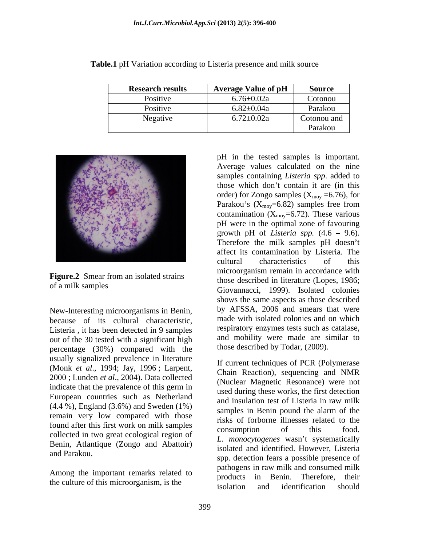| <b>Research results</b> | <b>Average Value of pH</b> | Source                                       |
|-------------------------|----------------------------|----------------------------------------------|
| Positive                | $6.76 \pm 0.02a$           | Cotonou                                      |
| Positive                | $.82{\pm}0.04a$            | Parakou                                      |
| Negative                | $5.72 \pm 0.02a$           | Cotonou and                                  |
|                         |                            | the company's company's company's<br>Parakou |

**Table.1** pH Variation according to Listeria presence and milk source



**Figure.2** Smear from an isolated strains

New-Interesting microorganisms in Benin, because of its cultural characteristic, Listeria , it has been detected in 9 samples out of the 30 tested with a significant high percentage (30%) compared with the usually signalized prevalence in literature (Monk *et al*., 1994; Jay, 1996 ; Larpent, 2000 ; Lunden *et al*., 2004). Data collected indicate that the prevalence of this germ in<br>weak during these works, the first detection European countries such as Netherland  $(4.4\%)$ , England  $(3.6\%)$  and Sweden  $(1\%)$  and Institution test of Eisterfa in Taw Inn remain very low compared with those found after this first work on milk samples<br>consumption of this food. collected in two great ecological region of Benin, Atlantique (Zongo and Abattoir)

Among the important remarks related to products

of a milk samples Giovannacci, 1999). Isolated colonies pH in the tested samples is important. Average values calculated on the nine samples containing *Listeria spp*. added to those which don't contain it are (in this order) for Zongo samples ( $X_{\text{mov}}$  =6.76), for Parakou's  $(X_{\text{mov}}=6.82)$  samples free from contamination  $(X_{\text{mov}}=6.72)$ . These various pH were in the optimal zone of favouring growth pH of *Listeria spp.*  $(4.6 - 9.6)$ . Therefore the milk samples pH doesn't affect its contamination by Listeria. The cultural characteristics of this microorganism remain in accordance with those described in literature (Lopes, 1986; shows the same aspects as those described by AFSSA, 2006 and smears that were made with isolated colonies and on which respiratory enzymes tests such as catalase, and mobility were made are similar to those described by Todar, (2009).

and Parakou.<br>
spp. detection fears a possible presence of the culture of this microorganism, is the the spokes of the solation and identification should If current techniques of PCR (Polymerase Chain Reaction), sequencing and NMR (Nuclear Magnetic Resonance) were not used during these works, the first detection and insulation test of Listeria in raw milk samples in Benin pound the alarm of the risks of forborne illnesses related to the consumption of this food. *L. monocytogenes* wasn t systematically isolated and identified. However, Listeria pathogens in raw milk and consumed milk in Benin. Therefore, their isolation and identification should